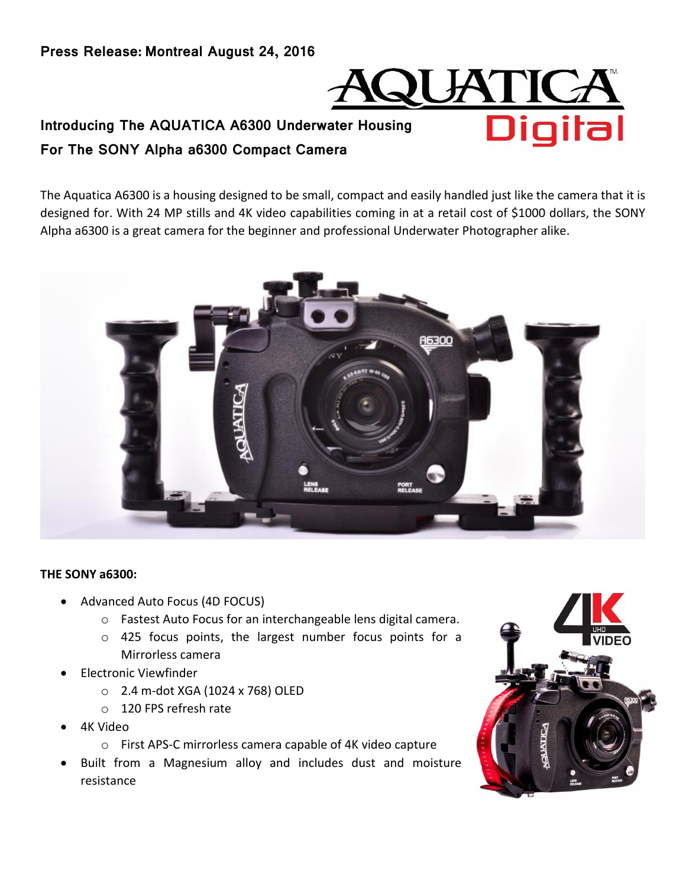**Press Release: Montreal August 24, 2016**



# **Introducing The AQUATICA A6300 Underwater Housing For The SONY Alpha a6300 Compact Camera**

The Aquatica A6300 is a housing designed to be small, compact and easily handled just like the camera that it is designed for. With 24 MP stills and 4K video capabilities coming in at a retail cost of \$1000 dollars, the SONY Alpha a6300 is a great camera for the beginner and professional Underwater Photographer alike.



## **THE SONY a6300:**

- Advanced Auto Focus (4D FOCUS)
	- o Fastest Auto Focus for an interchangeable lens digital camera.
	- o 425 focus points, the largest number focus points for a Mirrorless camera
- Electronic Viewfinder
	- o 2.4 m-dot XGA (1024 x 768) OLED
	- o 120 FPS refresh rate
- 4K Video
	- o First APS-C mirrorless camera capable of 4K video capture
- Built from a Magnesium alloy and includes dust and moisture resistance

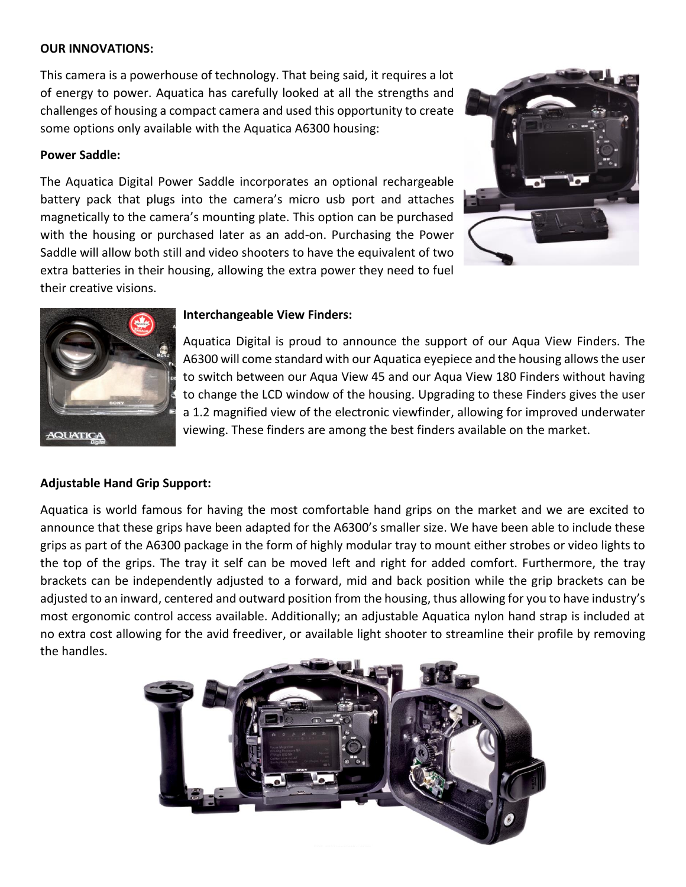## **OUR INNOVATIONS:**

This camera is a powerhouse of technology. That being said, it requires a lot of energy to power. Aquatica has carefully looked at all the strengths and challenges of housing a compact camera and used this opportunity to create some options only available with the Aquatica A6300 housing:

## **Power Saddle:**

The Aquatica Digital Power Saddle incorporates an optional rechargeable battery pack that plugs into the camera's micro usb port and attaches magnetically to the camera's mounting plate. This option can be purchased with the housing or purchased later as an add-on. Purchasing the Power Saddle will allow both still and video shooters to have the equivalent of two extra batteries in their housing, allowing the extra power they need to fuel their creative visions.





## **Interchangeable View Finders:**

Aquatica Digital is proud to announce the support of our Aqua View Finders. The A6300 will come standard with our Aquatica eyepiece and the housing allows the user to switch between our Aqua View 45 and our Aqua View 180 Finders without having to change the LCD window of the housing. Upgrading to these Finders gives the user a 1.2 magnified view of the electronic viewfinder, allowing for improved underwater viewing. These finders are among the best finders available on the market.

## **Adjustable Hand Grip Support:**

Aquatica is world famous for having the most comfortable hand grips on the market and we are excited to announce that these grips have been adapted for the A6300's smaller size. We have been able to include these grips as part of the A6300 package in the form of highly modular tray to mount either strobes or video lights to the top of the grips. The tray it self can be moved left and right for added comfort. Furthermore, the tray brackets can be independently adjusted to a forward, mid and back position while the grip brackets can be adjusted to an inward, centered and outward position from the housing, thus allowing for you to have industry's most ergonomic control access available. Additionally; an adjustable Aquatica nylon hand strap is included at no extra cost allowing for the avid freediver, or available light shooter to streamline their profile by removing the handles.

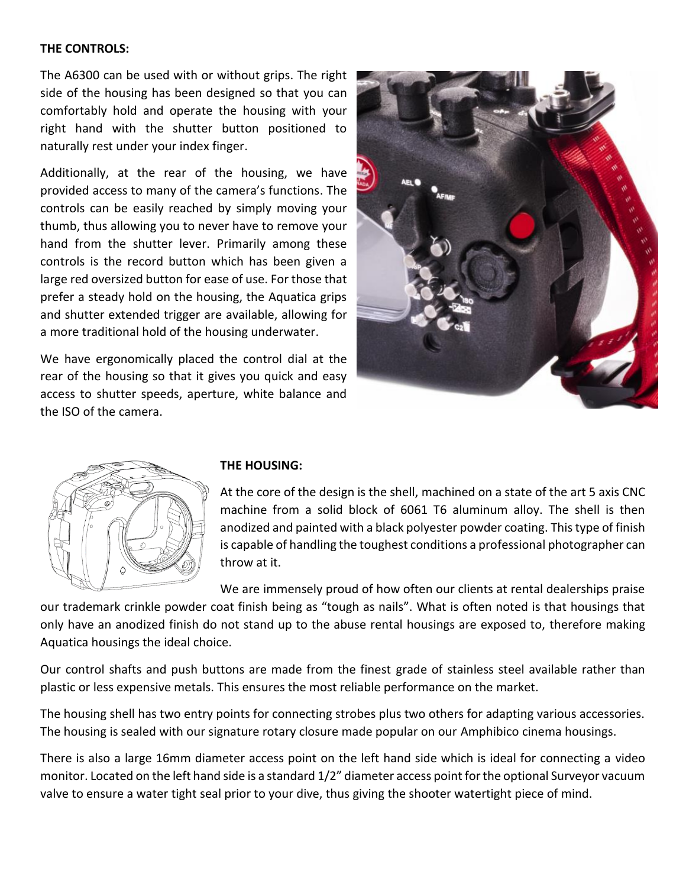#### **THE CONTROLS:**

The A6300 can be used with or without grips. The right side of the housing has been designed so that you can comfortably hold and operate the housing with your right hand with the shutter button positioned to naturally rest under your index finger.

Additionally, at the rear of the housing, we have provided access to many of the camera's functions. The controls can be easily reached by simply moving your thumb, thus allowing you to never have to remove your hand from the shutter lever. Primarily among these controls is the record button which has been given a large red oversized button for ease of use. For those that prefer a steady hold on the housing, the Aquatica grips and shutter extended trigger are available, allowing for a more traditional hold of the housing underwater.

We have ergonomically placed the control dial at the rear of the housing so that it gives you quick and easy access to shutter speeds, aperture, white balance and the ISO of the camera.





#### **THE HOUSING:**

At the core of the design is the shell, machined on a state of the art 5 axis CNC machine from a solid block of 6061 T6 aluminum alloy. The shell is then anodized and painted with a black polyester powder coating. This type of finish is capable of handling the toughest conditions a professional photographer can throw at it.

We are immensely proud of how often our clients at rental dealerships praise

our trademark crinkle powder coat finish being as "tough as nails". What is often noted is that housings that only have an anodized finish do not stand up to the abuse rental housings are exposed to, therefore making Aquatica housings the ideal choice.

Our control shafts and push buttons are made from the finest grade of stainless steel available rather than plastic or less expensive metals. This ensures the most reliable performance on the market.

The housing shell has two entry points for connecting strobes plus two others for adapting various accessories. The housing is sealed with our signature rotary closure made popular on our Amphibico cinema housings.

There is also a large 16mm diameter access point on the left hand side which is ideal for connecting a video monitor. Located on the left hand side is a standard 1/2" diameter access point for the optional Surveyor vacuum valve to ensure a water tight seal prior to your dive, thus giving the shooter watertight piece of mind.